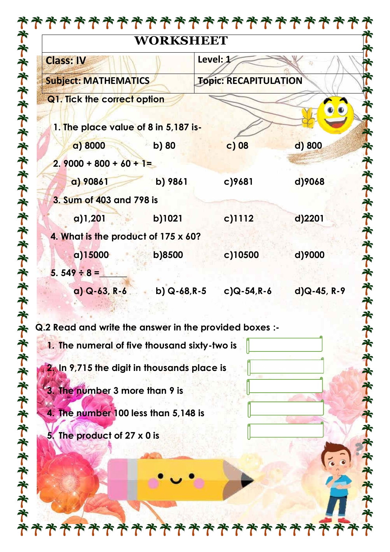| Level: $\mathcal{L}$<br><b>Class: IV</b><br>1. The place value of 8 in 5,187 is-<br>a) 8000<br>b) 80<br>$2.9000 + 800 + 60 + 1 =$<br>a) 90861<br>b) 9861<br>3. Sum of 403 and 798 is<br>b)1021<br>a)1,201<br>4. What is the product of 175 x 60?<br>a)15000<br>b)8500<br>$5.549 \div 8 =$<br>$a) Q-63, R-6$<br>b) $Q - 68$ , $R - 5$ c) $Q - 54$ , $R - 6$ | <b>Topic: RECAPITULATION</b><br>$c)$ 08<br>c)9681<br>c)1112<br>c)10500 | d) 800<br>d)9068<br>d)2201<br>d)9000 |
|------------------------------------------------------------------------------------------------------------------------------------------------------------------------------------------------------------------------------------------------------------------------------------------------------------------------------------------------------------|------------------------------------------------------------------------|--------------------------------------|
| <b>Subject: MATHEMATICS</b><br><b>Q1. Tick the correct option</b>                                                                                                                                                                                                                                                                                          |                                                                        |                                      |
|                                                                                                                                                                                                                                                                                                                                                            |                                                                        |                                      |
|                                                                                                                                                                                                                                                                                                                                                            |                                                                        |                                      |
|                                                                                                                                                                                                                                                                                                                                                            |                                                                        |                                      |
| Q.2 Read and write the answer in the provided boxes :-                                                                                                                                                                                                                                                                                                     |                                                                        |                                      |
|                                                                                                                                                                                                                                                                                                                                                            |                                                                        |                                      |
|                                                                                                                                                                                                                                                                                                                                                            |                                                                        |                                      |
|                                                                                                                                                                                                                                                                                                                                                            |                                                                        |                                      |
|                                                                                                                                                                                                                                                                                                                                                            |                                                                        |                                      |
|                                                                                                                                                                                                                                                                                                                                                            |                                                                        |                                      |
|                                                                                                                                                                                                                                                                                                                                                            |                                                                        |                                      |
|                                                                                                                                                                                                                                                                                                                                                            |                                                                        | $d$ )Q-45, R-9                       |
|                                                                                                                                                                                                                                                                                                                                                            |                                                                        |                                      |
| 1. The numeral of five thousand sixty-two is                                                                                                                                                                                                                                                                                                               |                                                                        |                                      |
| 2. In 9,715 the digit in thousands place is                                                                                                                                                                                                                                                                                                                |                                                                        |                                      |
| 3. The number 3 more than 9 is                                                                                                                                                                                                                                                                                                                             |                                                                        |                                      |
| 4. The number 100 less than 5,148 is                                                                                                                                                                                                                                                                                                                       |                                                                        |                                      |
| 5. The product of 27 x 0 is                                                                                                                                                                                                                                                                                                                                |                                                                        |                                      |
|                                                                                                                                                                                                                                                                                                                                                            |                                                                        |                                      |
|                                                                                                                                                                                                                                                                                                                                                            |                                                                        |                                      |
|                                                                                                                                                                                                                                                                                                                                                            |                                                                        |                                      |